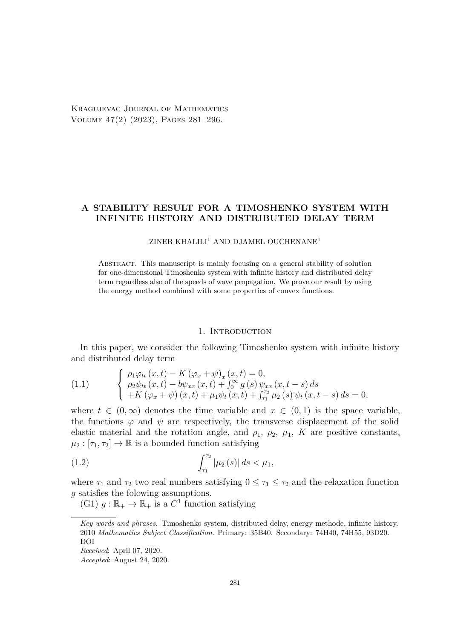Kragujevac Journal of Mathematics Volume 47(2) (2023), Pages 281–296.

# **A STABILITY RESULT FOR A TIMOSHENKO SYSTEM WITH INFINITE HISTORY AND DISTRIBUTED DELAY TERM**

## $ZINEB$  KHALILI<sup>1</sup> AND DJAMEL OUCHENANE<sup>1</sup>

Abstract. This manuscript is mainly focusing on a general stability of solution for one-dimensional Timoshenko system with infinite history and distributed delay term regardless also of the speeds of wave propagation. We prove our result by using the energy method combined with some properties of convex functions.

#### 1. INTRODUCTION

In this paper, we consider the following Timoshenko system with infinite history and distributed delay term

<span id="page-0-0"></span>(1.1) 
$$
\begin{cases} \rho_1 \varphi_{tt}(x,t) - K (\varphi_x + \psi)_x (x,t) = 0, \\ \rho_2 \psi_{tt}(x,t) - b \psi_{xx}(x,t) + \int_0^\infty g(s) \psi_{xx}(x,t-s) ds \\ + K (\varphi_x + \psi)(x,t) + \mu_1 \psi_t (x,t) + \int_{\tau_1}^{\tau_2} \mu_2(s) \psi_t (x,t-s) ds = 0, \end{cases}
$$

where  $t \in (0, \infty)$  denotes the time variable and  $x \in (0, 1)$  is the space variable, the functions  $\varphi$  and  $\psi$  are respectively, the transverse displacement of the solid elastic material and the rotation angle, and  $\rho_1$ ,  $\rho_2$ ,  $\mu_1$ , *K* are positive constants,  $\mu_2 : [\tau_1, \tau_2] \to \mathbb{R}$  is a bounded function satisfying

<span id="page-0-1"></span>(1.2) 
$$
\int_{\tau_1}^{\tau_2} |\mu_2(s)| ds < \mu_1,
$$

where  $\tau_1$  and  $\tau_2$  two real numbers satisfying  $0 \leq \tau_1 \leq \tau_2$  and the relaxation function *g* satisfies the folowing assumptions.

(G1)  $g : \mathbb{R}_+ \to \mathbb{R}_+$  is a  $C^1$  function satisfying

*Received*: April 07, 2020.

*Accepted*: August 24, 2020.

*Key words and phrases.* Timoshenko system, distributed delay, energy methode, infinite history. 2010 *Mathematics Subject Classification*. Primary: 35B40. Secondary: 74H40, 74H55, 93D20. DOI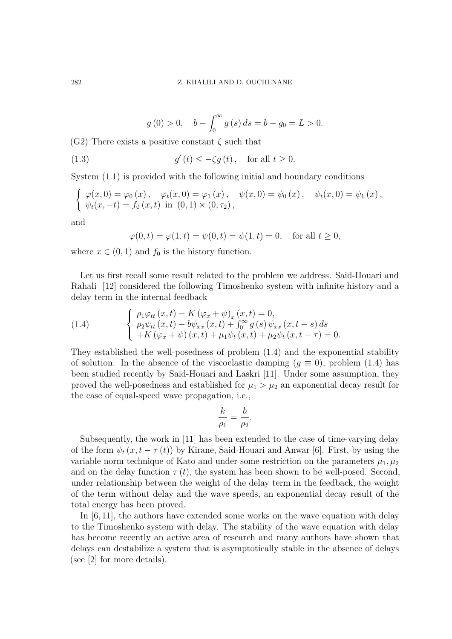<span id="page-1-2"></span>
$$
g(0) > 0
$$
,  $b - \int_0^\infty g(s) ds = b - g_0 = L > 0$ .

(G2) There exists a positive constant *ζ* such that

(1.3) 
$$
g'(t) \leq -\zeta g(t), \quad \text{for all } t \geq 0.
$$

System [\(1.1\)](#page-0-0) is provided with the following initial and boundary conditions

<span id="page-1-0"></span>
$$
\begin{cases}\n\varphi(x,0) = \varphi_0(x), & \varphi_t(x,0) = \varphi_1(x), & \psi(x,0) = \psi_0(x), & \psi_t(x,0) = \psi_1(x), \\
\psi_t(x,-t) = f_0(x,t) & \text{in } (0,1) \times (0,\tau_2),\n\end{cases}
$$

and

$$
\varphi(0, t) = \varphi(1, t) = \psi(0, t) = \psi(1, t) = 0
$$
, for all  $t \ge 0$ ,

where  $x \in (0,1)$  and  $f_0$  is the history function.

Let us first recall some result related to the problem we address. Said-Houari and Rahali [\[12\]](#page-14-0) considered the following Timoshenko system with infinite history and a delay term in the internal feedback

(1.4) 
$$
\begin{cases} \rho_1 \varphi_{tt} (x, t) - K (\varphi_x + \psi)_x (x, t) = 0, \\ \rho_2 \psi_{tt} (x, t) - b \psi_{xx} (x, t) + \int_0^\infty g (s) \psi_{xx} (x, t - s) ds \\ + K (\varphi_x + \psi) (x, t) + \mu_1 \psi_t (x, t) + \mu_2 \psi_t (x, t - \tau) = 0. \end{cases}
$$

They established the well-posedness of problem [\(1.4\)](#page-1-0) and the exponential stability of solution. In the absence of the viscoelastic damping  $(q \equiv 0)$ , problem [\(1.4\)](#page-1-0) has been studied recently by Said-Houari and Laskri [\[11\]](#page-14-1). Under some assumption, they proved the well-posedness and established for  $\mu_1 > \mu_2$  an exponential decay result for the case of equal-speed wave propagation, i.e.,

<span id="page-1-1"></span>
$$
\frac{k}{\rho_1} = \frac{b}{\rho_2}.
$$

Subsequently, the work in [\[11\]](#page-14-1) has been extended to the case of time-varying delay of the form  $\psi_t(x, t - \tau(t))$  by Kirane, Said-Houari and Anwar [\[6\]](#page-14-2). First, by using the variable norm technique of Kato and under some restriction on the parameters  $\mu_1, \mu_2$ and on the delay function  $\tau(t)$ , the system has been shown to be well-posed. Second, under relationship between the weight of the delay term in the feedback, the weight of the term without delay and the wave speeds, an exponential decay result of the total energy has been proved.

In [\[6,](#page-14-2) [11\]](#page-14-1), the authors have extended some works on the wave equation with delay to the Timoshenko system with delay. The stability of the wave equation with delay has become recently an active area of research and many authors have shown that delays can destabilize a system that is asymptotically stable in the absence of delays (see [\[2\]](#page-14-3) for more details).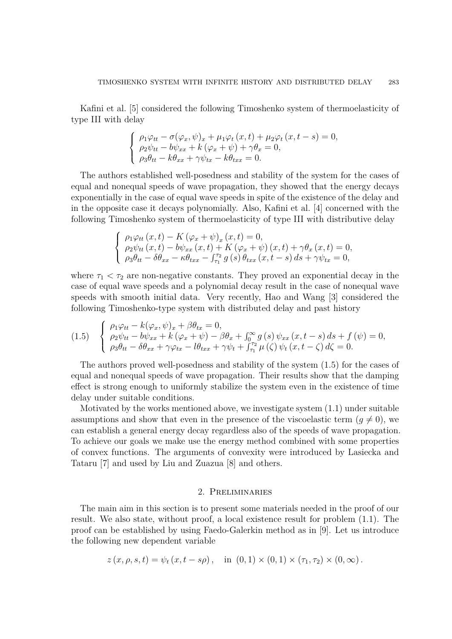Kafini et al. [\[5\]](#page-14-4) considered the following Timoshenko system of thermoelasticity of type III with delay

$$
\begin{cases}\n\rho_1 \varphi_{tt} - \sigma(\varphi_x, \psi)_x + \mu_1 \varphi_t(x, t) + \mu_2 \varphi_t(x, t - s) = 0, \\
\rho_2 \psi_{tt} - b \psi_{xx} + k (\varphi_x + \psi) + \gamma \theta_x = 0, \\
\rho_3 \theta_{tt} - k \theta_{xx} + \gamma \psi_{tx} - k \theta_{txx} = 0.\n\end{cases}
$$

The authors established well-posedness and stability of the system for the cases of equal and nonequal speeds of wave propagation, they showed that the energy decays exponentially in the case of equal wave speeds in spite of the existence of the delay and in the opposite case it decays polynomially. Also, Kafini et al. [\[4\]](#page-14-5) concerned with the following Timoshenko system of thermoelasticity of type III with distributive delay

$$
\begin{cases}\n\rho_1 \varphi_{tt} (x, t) - K (\varphi_x + \psi)_x (x, t) = 0, \\
\rho_2 \psi_{tt} (x, t) - b \psi_{xx} (x, t) + K (\varphi_x + \psi) (x, t) + \gamma \theta_x (x, t) = 0, \\
\rho_3 \theta_{tt} - \delta \theta_{xx} - \kappa \theta_{txx} - \int_{\tau_1}^{\tau_2} g(s) \theta_{txx} (x, t - s) ds + \gamma \psi_{tx} = 0,\n\end{cases}
$$

where  $\tau_1 < \tau_2$  are non-negative constants. They proved an exponential decay in the case of equal wave speeds and a polynomial decay result in the case of nonequal wave speeds with smooth initial data. Very recently, Hao and Wang [\[3\]](#page-14-6) considered the following Timoshenko-type system with distributed delay and past history

(1.5) 
$$
\begin{cases} \rho_1 \varphi_{tt} - k(\varphi_x, \psi)_x + \beta \theta_{tx} = 0, \\ \rho_2 \psi_{tt} - b \psi_{xx} + k(\varphi_x + \psi) - \beta \theta_x + \int_0^\infty g(s) \psi_{xx}(x, t - s) ds + f(\psi) = 0, \\ \rho_3 \theta_{tt} - \delta \theta_{xx} + \gamma \varphi_{tx} - l \theta_{txx} + \gamma \psi_t + \int_{\tau_1}^{\tau_2} \mu(\zeta) \psi_t(x, t - \zeta) d\zeta = 0. \end{cases}
$$

The authors proved well-posedness and stability of the system [\(1.5\)](#page-1-1) for the cases of equal and nonequal speeds of wave propagation. Their results show that the damping effect is strong enough to uniformly stabilize the system even in the existence of time delay under suitable conditions.

Motivated by the works mentioned above, we investigate system [\(1.1\)](#page-0-0) under suitable assumptions and show that even in the presence of the viscoelastic term  $(q \neq 0)$ , we can establish a general energy decay regardless also of the speeds of wave propagation. To achieve our goals we make use the energy method combined with some properties of convex functions. The arguments of convexity were introduced by Lasiecka and Tataru [\[7\]](#page-14-7) and used by Liu and Zuazua [\[8\]](#page-14-8) and others.

#### 2. Preliminaries

The main aim in this section is to present some materials needed in the proof of our result. We also state, without proof, a local existence result for problem [\(1.1\)](#page-0-0). The proof can be established by using Faedo-Galerkin method as in [\[9\]](#page-14-9). Let us introduce the following new dependent variable

$$
z(x, \rho, s, t) = \psi_t(x, t - s\rho), \text{ in } (0, 1) \times (0, 1) \times (\tau_1, \tau_2) \times (0, \infty).
$$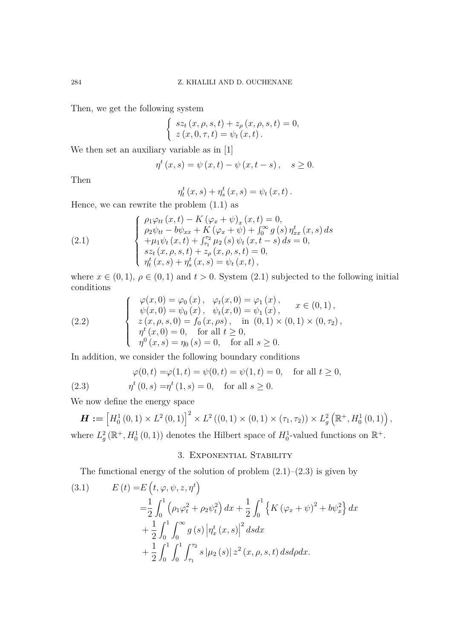Then, we get the following system

$$
\begin{cases}\nsz_t(x, \rho, s, t) + z_{\rho}(x, \rho, s, t) = 0, \\
z(x, 0, \tau, t) = \psi_t(x, t).\n\end{cases}
$$

We then set an auxiliary variable as in [\[1\]](#page-14-10)

$$
\eta^{t}(x,s) = \psi(x,t) - \psi(x,t-s), \quad s \ge 0.
$$

Then

$$
\eta_t^t(x,s) + \eta_s^t(x,s) = \psi_t(x,t).
$$

Hence, we can rewrite the problem [\(1.1\)](#page-0-0) as

<span id="page-3-0"></span>(2.1) 
$$
\begin{cases}\n\rho_1 \varphi_{tt} (x, t) - K (\varphi_x + \psi)_x (x, t) = 0, \\
\rho_2 \psi_{tt} - b \psi_{xx} + K (\varphi_x + \psi) + \int_0^\infty g(s) \eta_{xx}^t (x, s) ds \\
+ \mu_1 \psi_t (x, t) + \int_1^{T_2} \mu_2(s) \psi_t (x, t - s) ds = 0, \\
s z_t (x, \rho, s, t) + z_\rho (x, \rho, s, t) = 0, \\
\eta_t^t (x, s) + \eta_s^t (x, s) = \psi_t (x, t),\n\end{cases}
$$

where  $x \in (0,1)$ ,  $\rho \in (0,1)$  and  $t > 0$ . System [\(2.1\)](#page-3-0) subjected to the following initial conditions

(2.2) 
$$
\begin{cases}\n\varphi(x,0) = \varphi_0(x), & \varphi_t(x,0) = \varphi_1(x), \\
\psi(x,0) = \psi_0(x), & \psi_t(x,0) = \psi_1(x), \\
z(x,\rho,s,0) = f_0(x,\rho s), & \text{in } (0,1) \times (0,1) \times (0,\tau_2), \\
\eta^t(x,0) = 0, & \text{for all } t \ge 0, \\
\eta^0(x,s) = \eta_0(s) = 0, & \text{for all } s \ge 0.\n\end{cases}
$$

In addition, we consider the following boundary conditions

<span id="page-3-1"></span>(2.3) 
$$
\varphi(0, t) = \varphi(1, t) = \psi(0, t) = \psi(1, t) = 0, \text{ for all } t \ge 0,
$$

$$
\eta^t(0, s) = \eta^t(1, s) = 0, \text{ for all } s \ge 0.
$$

We now define the energy space

$$
\boldsymbol{H} := \left[ H_0^1(0,1) \times L^2(0,1) \right]^2 \times L^2((0,1) \times (0,1) \times (\tau_1, \tau_2)) \times L_g^2\left(\mathbb{R}^+, H_0^1(0,1)\right),
$$
  
where  $L_g^2(\mathbb{R}^+, H_0^1(0,1))$  denotes the Hilbert space of  $H_0^1$ -valued functions on  $\mathbb{R}^+$ .

## 3. Exponential Stability

The functional energy of the solution of problem  $(2.1)$ – $(2.3)$  is given by

<span id="page-3-2"></span>(3.1) 
$$
E(t) = E(t, \varphi, \psi, z, \eta^{t})
$$
  
\n
$$
= \frac{1}{2} \int_{0}^{1} (\rho_{1} \varphi_{t}^{2} + \rho_{2} \psi_{t}^{2}) dx + \frac{1}{2} \int_{0}^{1} \left\{ K (\varphi_{x} + \psi)^{2} + b \psi_{x}^{2} \right\} dx
$$
  
\n
$$
+ \frac{1}{2} \int_{0}^{1} \int_{0}^{\infty} g(s) |\eta_{x}^{t}(x, s)|^{2} ds dx
$$
  
\n
$$
+ \frac{1}{2} \int_{0}^{1} \int_{0}^{1} \int_{\tau_{1}}^{\tau_{2}} s |\mu_{2}(s)| z^{2}(x, \rho, s, t) ds d\rho dx.
$$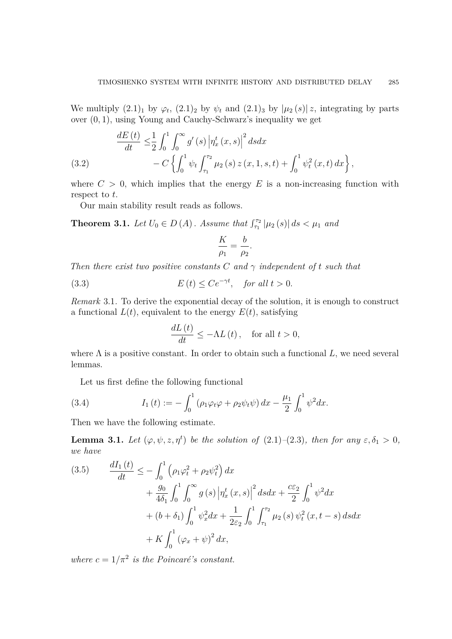We multiply  $(2.1)_1$  $(2.1)_1$  by  $\varphi_t$ ,  $(2.1)_2$  by  $\psi_t$  and  $(2.1)_3$  by  $|\mu_2(s)|z$ , integrating by parts over (0*,* 1), using Young and Cauchy-Schwarz's inequality we get

<span id="page-4-3"></span>(3.2) 
$$
\frac{dE(t)}{dt} \leq \frac{1}{2} \int_0^1 \int_0^\infty g'(s) \left| \eta_x^t(x,s) \right|^2 ds dx - C \left\{ \int_0^1 \psi_t \int_{\tau_1}^{\tau_2} \mu_2(s) z(x,1,s,t) + \int_0^1 \psi_t^2(x,t) dx \right\},
$$

where  $C > 0$ , which implies that the energy  $E$  is a non-increasing function with respect to *t*.

Our main stability result reads as follows.

<span id="page-4-2"></span>**Theorem 3.1.** *Let*  $U_0 \in D(A)$ *. Assume that*  $\int_{\tau_1}^{\tau_2} |\mu_2(s)| ds < \mu_1$  *and* 

<span id="page-4-4"></span>
$$
\frac{K}{\rho_1} = \frac{b}{\rho_2}.
$$

*Then there exist two positive constants*  $C$  *and*  $\gamma$  *independent of t such that* 

(3.3) 
$$
E(t) \le Ce^{-\gamma t}, \quad \text{for all } t > 0.
$$

*Remark* 3.1*.* To derive the exponential decay of the solution, it is enough to construct a functional  $L(t)$ , equivalent to the energy  $E(t)$ , satisfying

$$
\frac{dL\left(t\right)}{dt} \le -\Lambda L\left(t\right), \quad \text{for all } t > 0,
$$

where  $\Lambda$  is a positive constant. In order to obtain such a functional  $L$ , we need several lemmas.

<span id="page-4-0"></span>Let us first define the following functional

(3.4) 
$$
I_1(t) := -\int_0^1 (\rho_1 \varphi_t \varphi + \rho_2 \psi_t \psi) dx - \frac{\mu_1}{2} \int_0^1 \psi^2 dx.
$$

Then we have the following estimate.

**Lemma 3.1.** *Let*  $(\varphi, \psi, z, \eta^t)$  *be the solution of*  $(2.1)$ – $(2.3)$ *, then for any*  $\varepsilon, \delta_1 > 0$ *, we have*

<span id="page-4-1"></span>(3.5) 
$$
\frac{dI_1(t)}{dt} \leq -\int_0^1 \left(\rho_1 \varphi_t^2 + \rho_2 \psi_t^2\right) dx \n+ \frac{g_0}{4\delta_1} \int_0^1 \int_0^\infty g\left(s\right) \left|\eta_x^t\left(x, s\right)\right|^2 ds dx + \frac{c\varepsilon_2}{2} \int_0^1 \psi^2 dx \n+ (b + \delta_1) \int_0^1 \psi_x^2 dx + \frac{1}{2\varepsilon_2} \int_0^1 \int_{\tau_1}^{\tau_2} \mu_2\left(s\right) \psi_t^2\left(x, t - s\right) ds dx \n+ K \int_0^1 (\varphi_x + \psi)^2 dx,
$$

*where*  $c = 1/\pi^2$  *is the Poincaré's constant.*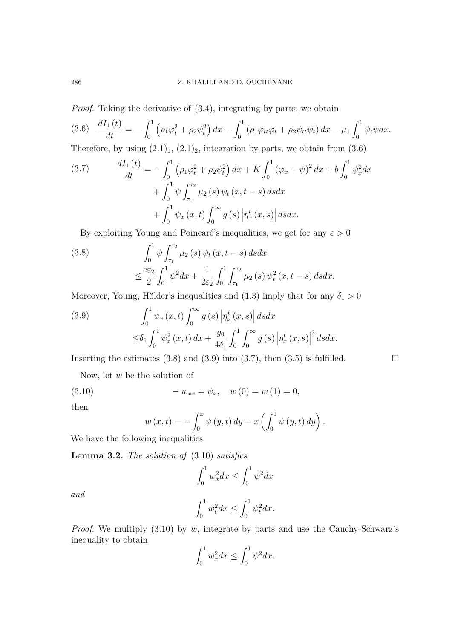## 286 Z. KHALILI AND D. OUCHENANE

*Proof.* Taking the derivative of  $(3.4)$ , integrating by parts, we obtain

<span id="page-5-0"></span>(3.6) 
$$
\frac{dI_1(t)}{dt} = -\int_0^1 \left(\rho_1 \varphi_t^2 + \rho_2 \psi_t^2\right) dx - \int_0^1 \left(\rho_1 \varphi_{tt} \varphi_t + \rho_2 \psi_{tt} \psi_t\right) dx - \mu_1 \int_0^1 \psi_t \psi dx.
$$

Therefore, by using  $(2.1)<sub>1</sub>$  $(2.1)<sub>1</sub>$ ,  $(2.1)<sub>2</sub>$ , integration by parts, we obtain from  $(3.6)$ 

<span id="page-5-3"></span>(3.7) 
$$
\frac{dI_1(t)}{dt} = -\int_0^1 (\rho_1 \varphi_t^2 + \rho_2 \psi_t^2) dx + K \int_0^1 (\varphi_x + \psi)^2 dx + b \int_0^1 \psi_x^2 dx + \int_0^1 \psi \int_{\tau_1}^{\tau_2} \mu_2(s) \psi_t(x, t - s) ds dx + \int_0^1 \psi_x(x, t) \int_0^\infty g(s) |\eta_x^t(x, s)| ds dx.
$$

By exploiting Young and Poincaré's inequalities, we get for any  $\varepsilon > 0$ 

<span id="page-5-1"></span>(3.8) 
$$
\int_0^1 \psi \int_{\tau_1}^{\tau_2} \mu_2(s) \psi_t(x, t - s) ds dx \n\leq \frac{c \varepsilon_2}{2} \int_0^1 \psi^2 dx + \frac{1}{2\varepsilon_2} \int_0^1 \int_{\tau_1}^{\tau_2} \mu_2(s) \psi_t^2(x, t - s) ds dx.
$$

Moreover, Young, Hölder's inequalities and [\(1.3\)](#page-1-2) imply that for any  $\delta_1 > 0$ 

<span id="page-5-2"></span>(3.9) 
$$
\int_0^1 \psi_x(x,t) \int_0^\infty g(s) \left| \eta_x^t(x,s) \right| ds dx
$$
  
 
$$
\leq \delta_1 \int_0^1 \psi_x^2(x,t) dx + \frac{g_0}{4\delta_1} \int_0^1 \int_0^\infty g(s) \left| \eta_x^t(x,s) \right|^2 ds dx.
$$

Inserting the estimates [\(3.8\)](#page-5-1) and [\(3.9\)](#page-5-2) into [\(3.7\)](#page-5-3), then [\(3.5\)](#page-4-1) is fulfilled.  $\square$ 

Now, let *w* be the solution of

(3.10) 
$$
- w_{xx} = \psi_x, \quad w(0) = w(1) = 0,
$$

then

<span id="page-5-4"></span>
$$
w(x,t) = -\int_0^x \psi(y,t) dy + x \left( \int_0^1 \psi(y,t) dy \right).
$$

We have the following inequalities.

**Lemma 3.2.** *The solution of* [\(3.10\)](#page-5-4) *satisfies*

$$
\int_0^1 w_x^2 dx \le \int_0^1 \psi^2 dx
$$

*and*

$$
\int_0^1 w_t^2 dx \le \int_0^1 \psi_t^2 dx.
$$

*Proof.* We multiply [\(3.10\)](#page-5-4) by *w*, integrate by parts and use the Cauchy-Schwarz's inequality to obtain

$$
\int_0^1 w_x^2 dx \le \int_0^1 \psi^2 dx.
$$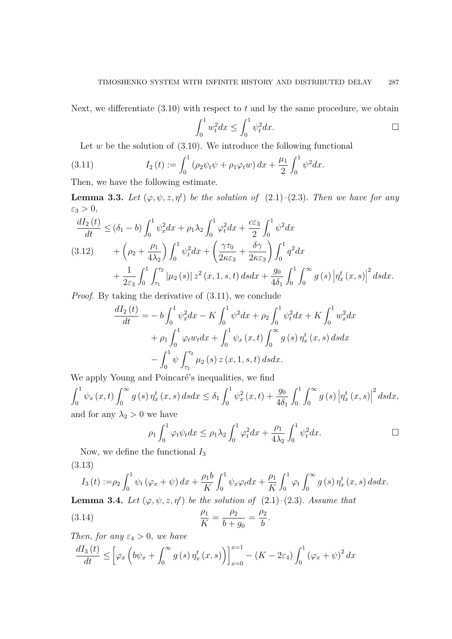Next, we differentiate [\(3.10\)](#page-5-4) with respect to *t* and by the same procedure, we obtain

<span id="page-6-0"></span>
$$
\int_0^1 w_t^2 dx \le \int_0^1 \psi_t^2 dx.
$$

Let  $w$  be the solution of  $(3.10)$ . We introduce the following functional

(3.11) 
$$
I_2(t) := \int_0^1 (\rho_2 \psi_t \psi + \rho_1 \varphi_t w) dx + \frac{\mu_1}{2} \int_0^1 \psi^2 dx.
$$

Then, we have the following estimate.

**Lemma 3.3.** Let  $(\varphi, \psi, z, \eta^t)$  be the solution of  $(2.1)$ – $(2.3)$ . Then we have for any  $\varepsilon_3 > 0$ ,

<span id="page-6-2"></span>
$$
\frac{dI_2(t)}{dt} \le (\delta_1 - b) \int_0^1 \psi_x^2 dx + \rho_1 \lambda_2 \int_0^1 \varphi_t^2 dx + \frac{c \varepsilon_3}{2} \int_0^1 \psi^2 dx
$$
\n(3.12) 
$$
+ \left(\rho_2 + \frac{\rho_1}{4\lambda_2}\right) \int_0^1 \psi_t^2 dx + \left(\frac{\gamma \tau_0}{2\kappa \varepsilon_3} + \frac{\delta \gamma}{2\kappa \varepsilon_3}\right) \int_0^1 q^2 dx + \frac{1}{2\varepsilon_3} \int_0^1 \int_{\tau_1}^{\tau_2} |\mu_2(s)| z^2(x, 1, s, t) ds dx + \frac{g_0}{4\delta_1} \int_0^1 \int_0^\infty g(s) |\eta_x^t(x, s)|^2 ds dx.
$$

*Proof.* By taking the derivative of  $(3.11)$ , we conclude

$$
\frac{dI_2(t)}{dt} = -b \int_0^1 \psi_x^2 dx - K \int_0^1 \psi^2 dx + \rho_2 \int_0^1 \psi_t^2 dx + K \int_0^1 w_x^2 dx
$$

$$
+ \rho_1 \int_0^1 \varphi_t w_t dx + \int_0^1 \psi_x(x, t) \int_0^\infty g(s) \eta_x^t(x, s) ds dx
$$

$$
- \int_0^1 \psi \int_{\tau_1}^{\tau_2} \mu_2(s) z(x, 1, s, t) ds dx.
$$

We apply Young and Poincaré's inequalities, we find

 $\int_1^1$  $\int_0^1 \psi_x\left(x,t\right) \int_0^\infty$  $\int_0^\infty g(s) \, \eta_x^t(x,s) \, ds dx \leq \delta_1 \int_0^1$  $\int_0^1 \psi_x^2(x,t) + \frac{g_0}{4\delta}$  $4\delta_1$  $\int_0^1$ 0  $\int^{\infty}$  $\int_{0}^{\infty} g\left(s\right)\left|\eta_{x}^{t}\left(x,s\right)\right|$  $^{2}dsdx,$ and for any  $\lambda_2 > 0$  we have

<span id="page-6-1"></span>
$$
\rho_1 \int_0^1 \varphi_t \psi_t dx \le \rho_1 \lambda_2 \int_0^1 \varphi_t^2 dx + \frac{\rho_1}{4\lambda_2} \int_0^1 \psi_t^2 dx.
$$

Now, we define the functional *I*<sup>3</sup> (3.13)

$$
I_3(t) := \rho_2 \int_0^1 \psi_t (\varphi_x + \psi) dx + \frac{\rho_1 b}{K} \int_0^1 \psi_x \varphi_t dx + \frac{\rho_1}{K} \int_0^1 \varphi_t \int_0^\infty g(s) \eta_x^t(x, s) ds dx.
$$

**Lemma 3.4.** *Let*  $(\varphi, \psi, z, \eta^t)$  *be the solution of*  $(2.1)$ – $(2.3)$ *. Assume that* 

(3.14) 
$$
\frac{\rho_1}{K} = \frac{\rho_2}{b + g_0} = \frac{\rho_2}{b}.
$$

*Then, for any*  $\varepsilon_4 > 0$ *, we have* 

$$
\frac{dI_{3}(t)}{dt} \leq \left[\varphi_{x}\left(b\psi_{x} + \int_{0}^{\infty} g\left(s\right)\eta_{x}^{t}\left(x, s\right)\right)\right]_{x=0}^{x=1} - \left(K - 2\varepsilon_{4}\right)\int_{0}^{1} \left(\varphi_{x} + \psi\right)^{2} dx
$$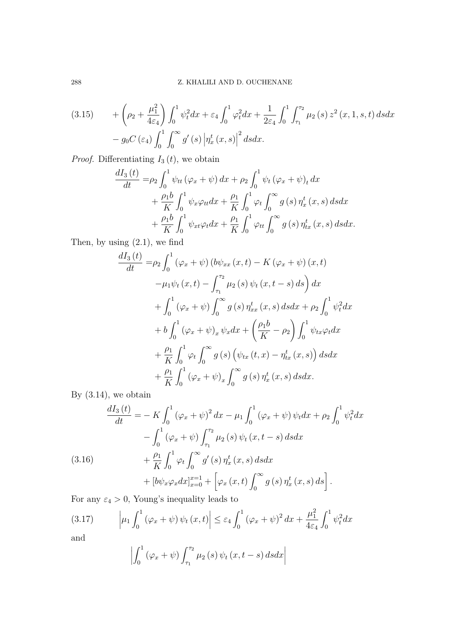<span id="page-7-2"></span>
$$
(3.15) \qquad + \left(\rho_2 + \frac{\mu_1^2}{4\varepsilon_4}\right) \int_0^1 \psi_t^2 dx + \varepsilon_4 \int_0^1 \varphi_t^2 dx + \frac{1}{2\varepsilon_4} \int_0^1 \int_{\tau_1}^{\tau_2} \mu_2\left(s\right) z^2\left(x, 1, s, t\right) ds dx - g_0 C\left(\varepsilon_4\right) \int_0^1 \int_0^\infty g'\left(s\right) \left|\eta_x^t\left(x, s\right)\right|^2 ds dx.
$$

*Proof.* Differentiating  $I_3(t)$ , we obtain

$$
\frac{dI_3(t)}{dt} = \rho_2 \int_0^1 \psi_{tt} (\varphi_x + \psi) dx + \rho_2 \int_0^1 \psi_t (\varphi_x + \psi)_t dx \n+ \frac{\rho_1 b}{K} \int_0^1 \psi_x \varphi_{tt} dx + \frac{\rho_1}{K} \int_0^1 \varphi_t \int_0^\infty g(s) \eta_x^t(x, s) ds dx \n+ \frac{\rho_1 b}{K} \int_0^1 \psi_{xt} \varphi_t dx + \frac{\rho_1}{K} \int_0^1 \varphi_{tt} \int_0^\infty g(s) \eta_{tx}^t(x, s) ds dx.
$$

Then, by using  $(2.1)$ , we find

$$
\frac{dI_3(t)}{dt} = \rho_2 \int_0^1 (\varphi_x + \psi) (b\psi_{xx}(x, t) - K(\varphi_x + \psi) (x, t)
$$
  
\n
$$
-\mu_1 \psi_t(x, t) - \int_{\tau_1}^{\tau_2} \mu_2(s) \psi_t(x, t - s) ds dx + \int_0^1 (\varphi_x + \psi) \int_0^\infty g(s) \eta_{xx}^t(x, s) ds dx + \rho_2 \int_0^1 \psi_t^2 dx
$$
  
\n
$$
+ b \int_0^1 (\varphi_x + \psi)_x \psi_x dx + \left(\frac{\rho_1 b}{K} - \rho_2\right) \int_0^1 \psi_{tx} \varphi_t dx
$$
  
\n
$$
+ \frac{\rho_1}{K} \int_0^1 \varphi_t \int_0^\infty g(s) (\psi_{tx}(t, x) - \eta_{tx}^t(x, s)) ds dx
$$
  
\n
$$
+ \frac{\rho_1}{K} \int_0^1 (\varphi_x + \psi)_x \int_0^\infty g(s) \eta_x^t(x, s) ds dx.
$$

By  $(3.14)$ , we obtain

<span id="page-7-1"></span>
$$
\frac{dI_3(t)}{dt} = -K \int_0^1 (\varphi_x + \psi)^2 dx - \mu_1 \int_0^1 (\varphi_x + \psi) \psi_t dx + \rho_2 \int_0^1 \psi_t^2 dx \n- \int_0^1 (\varphi_x + \psi) \int_{\tau_1}^{\tau_2} \mu_2(s) \psi_t(x, t - s) ds dx \n+ \frac{\rho_1}{K} \int_0^1 \varphi_t \int_0^\infty g'(s) \eta_x^t(x, s) ds dx \n+ [b\psi_x \varphi_x dx]_{x=0}^{x=1} + \left[ \varphi_x(x, t) \int_0^\infty g(s) \eta_x^t(x, s) ds \right].
$$

For any  $\varepsilon_4 > 0$ , Young's inequality leads to

$$
(3.17) \qquad \left| \mu_1 \int_0^1 (\varphi_x + \psi) \, \psi_t \left( x, t \right) \right| \leq \varepsilon_4 \int_0^1 (\varphi_x + \psi)^2 \, dx + \frac{\mu_1^2}{4\varepsilon_4} \int_0^1 \psi_t^2 dx
$$

and

<span id="page-7-0"></span>
$$
\left|\int_0^1 (\varphi_x + \psi) \int_{\tau_1}^{\tau_2} \mu_2 \left(s\right) \psi_t \left(x, t - s\right) ds dx\right|
$$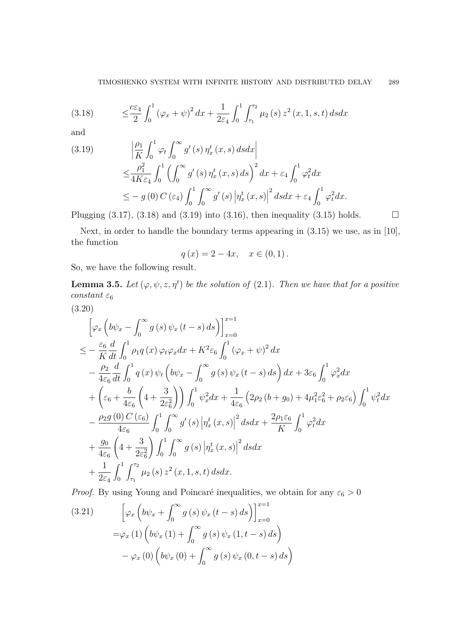<span id="page-8-0"></span>(3.18) 
$$
\leq \frac{c\varepsilon_4}{2} \int_0^1 (\varphi_x + \psi)^2 dx + \frac{1}{2\varepsilon_4} \int_0^1 \int_{\tau_1}^{\tau_2} \mu_2(s) z^2(x, 1, s, t) ds dx
$$

and

<span id="page-8-1"></span>(3.19) 
$$
\left| \frac{\rho_1}{K} \int_0^1 \varphi_t \int_0^\infty g'(s) \eta_x^t(x, s) ds dx \right|
$$
  
\n
$$
\leq \frac{\rho_1^2}{4K \varepsilon_4} \int_0^1 \left( \int_0^\infty g'(s) \eta_x^t(x, s) ds \right)^2 dx + \varepsilon_4 \int_0^1 \varphi_t^2 dx
$$
  
\n
$$
\leq -g(0) C(\varepsilon_4) \int_0^1 \int_0^\infty g'(s) \left| \eta_x^t(x, s) \right|^2 ds dx + \varepsilon_4 \int_0^1 \varphi_t^2 dx.
$$

Plugging  $(3.17)$ ,  $(3.18)$  and  $(3.19)$  into  $(3.16)$ , then inequality  $(3.15)$  holds.  $\Box$ 

Next, in order to handle the boundary terms appearing in [\(3.15\)](#page-7-2) we use, as in [\[10\]](#page-14-11), the function

$$
q(x) = 2 - 4x, \quad x \in (0, 1).
$$

So, we have the following result.

**Lemma 3.5.** Let  $(\varphi, \psi, z, \eta^t)$  be the solution of [\(2.1\)](#page-3-0). Then we have that for a positive *constant*  $\varepsilon_6$ 

<span id="page-8-3"></span>
$$
(3.20)
$$

$$
\begin{split}\n&\left[\varphi_{x}\left(b\psi_{x}-\int_{0}^{\infty}g\left(s\right)\psi_{x}\left(t-s\right)ds\right)\right]_{x=0}^{x=1} \\
&\leq -\frac{\varepsilon_{6}}{K}\frac{d}{dt}\int_{0}^{1}\rho_{1}q\left(x\right)\varphi_{t}\varphi_{x}dx+K^{2}\varepsilon_{6}\int_{0}^{1}\left(\varphi_{x}+\psi\right)^{2}dx \\
&-\frac{\rho_{2}}{4\varepsilon_{6}}\frac{d}{dt}\int_{0}^{1}q\left(x\right)\psi_{t}\left(b\psi_{x}-\int_{0}^{\infty}g\left(s\right)\psi_{x}\left(t-s\right)ds\right)dx+3\varepsilon_{6}\int_{0}^{1}\varphi_{x}^{2}dx \\
&+\left(\varepsilon_{6}+\frac{b}{4\varepsilon_{6}}\left(4+\frac{3}{2\varepsilon_{6}^{2}}\right)\right)\int_{0}^{1}\psi_{x}^{2}dx+\frac{1}{4\varepsilon_{6}}\left(2\rho_{2}\left(b+g_{0}\right)+4\mu_{1}^{2}\varepsilon_{6}^{2}+\rho_{2}\varepsilon_{6}\right)\int_{0}^{1}\psi_{t}^{2}dx \\
&-\frac{\rho_{2}g\left(0\right)C\left(\varepsilon_{6}\right)}{4\varepsilon_{6}}\int_{0}^{1}\int_{0}^{\infty}g'\left(s\right)\left|\eta_{x}^{t}\left(x,s\right)\right|^{2}dsdx+\frac{2\rho_{1}\varepsilon_{6}}{K}\int_{0}^{1}\varphi_{t}^{2}dx \\
&+\frac{g_{0}}{4\varepsilon_{6}}\left(4+\frac{3}{2\varepsilon_{6}^{2}}\right)\int_{0}^{1}\int_{0}^{\infty}g\left(s\right)\left|\eta_{x}^{t}\left(x,s\right)\right|^{2}dsdx \\
&+\frac{1}{2\varepsilon_{4}}\int_{0}^{1}\int_{\tau_{1}}^{\tau_{2}}\mu_{2}\left(s\right)z^{2}\left(x,1,s,t\right)dsdx.\end{split}
$$

*Proof.* By using Young and Poincaré inequalities, we obtain for any  $\varepsilon_6 > 0$ 

<span id="page-8-2"></span>(3.21) 
$$
\left[\varphi_x\left(b\psi_x + \int_0^\infty g(s)\psi_x(t-s) ds\right)\right]_{x=0}^{x=1}
$$

$$
=\varphi_x(1)\left(b\psi_x(1) + \int_0^\infty g(s)\psi_x(1,t-s) ds\right)
$$

$$
-\varphi_x(0)\left(b\psi_x(0) + \int_0^\infty g(s)\psi_x(0,t-s) ds\right)
$$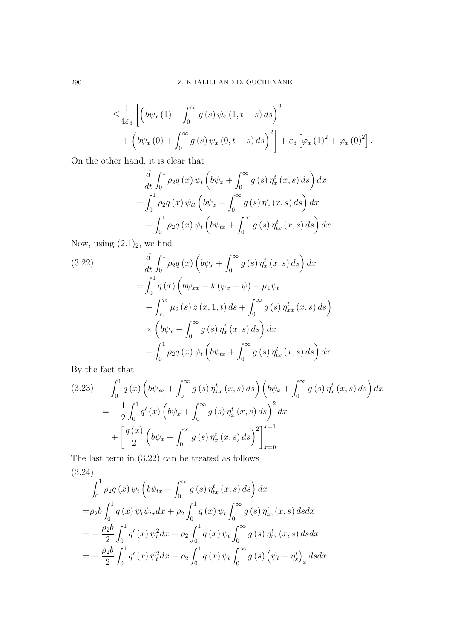$$
\leq \frac{1}{4\varepsilon_6} \left[ \left( b\psi_x \left( 1 \right) + \int_0^\infty g\left( s \right) \psi_x \left( 1, t - s \right) ds \right)^2 + \left( b\psi_x \left( 0 \right) + \int_0^\infty g\left( s \right) \psi_x \left( 0, t - s \right) ds \right)^2 \right] + \varepsilon_6 \left[ \varphi_x \left( 1 \right)^2 + \varphi_x \left( 0 \right)^2 \right].
$$

On the other hand, it is clear that

$$
\frac{d}{dt} \int_0^1 \rho_2 q(x) \psi_t \left( b\psi_x + \int_0^\infty g(s) \eta_x^t(x, s) ds \right) dx
$$
  
= 
$$
\int_0^1 \rho_2 q(x) \psi_{tt} \left( b\psi_x + \int_0^\infty g(s) \eta_x^t(x, s) ds \right) dx
$$
  
+ 
$$
\int_0^1 \rho_2 q(x) \psi_t \left( b\psi_{tx} + \int_0^\infty g(s) \eta_{tx}^t(x, s) ds \right) dx.
$$

Now, using  $(2.1)_2$  $(2.1)_2$ , we find

<span id="page-9-0"></span>(3.22) 
$$
\frac{d}{dt} \int_0^1 \rho_2 q(x) \left( b\psi_x + \int_0^\infty g(s) \eta_x^t(x, s) ds \right) dx \n= \int_0^1 q(x) \left( b\psi_{xx} - k(\varphi_x + \psi) - \mu_1 \psi_t \right. \n- \int_{\tau_1}^{\tau_2} \mu_2(s) z(x, 1, t) ds + \int_0^\infty g(s) \eta_{xx}^t(x, s) ds \n\times \left( b\psi_x - \int_0^\infty g(s) \eta_x^t(x, s) ds \right) dx \n+ \int_0^1 \rho_2 q(x) \psi_t \left( b\psi_{tx} + \int_0^\infty g(s) \eta_{tx}^t(x, s) ds \right) dx.
$$

By the fact that

<span id="page-9-1"></span>(3.23) 
$$
\int_0^1 q(x) \left( b\psi_{xx} + \int_0^\infty g(s) \eta_{xx}^t(x,s) ds \right) \left( b\psi_x + \int_0^\infty g(s) \eta_x^t(x,s) ds \right) dx
$$
  
= 
$$
- \frac{1}{2} \int_0^1 q'(x) \left( b\psi_x + \int_0^\infty g(s) \eta_x^t(x,s) ds \right)^2 dx
$$
  
+ 
$$
\left[ \frac{q(x)}{2} \left( b\psi_x + \int_0^\infty g(s) \eta_x^t(x,s) ds \right)^2 \right]_{x=0}^{x=1}.
$$

<span id="page-9-2"></span>The last term in [\(3.22\)](#page-9-0) can be treated as follows (3.24)

$$
\int_{0}^{1} \rho_{2}q(x)\,\psi_{t}\left(b\psi_{tx}+\int_{0}^{\infty}g(s)\,\eta_{tx}^{t}(x,s)\,ds\right)dx
$$
  
\n
$$
=\rho_{2}b\int_{0}^{1}q(x)\,\psi_{t}\psi_{tx}dx+\rho_{2}\int_{0}^{1}q(x)\,\psi_{t}\int_{0}^{\infty}g(s)\,\eta_{tx}^{t}(x,s)\,dsdx
$$
  
\n
$$
=-\frac{\rho_{2}b}{2}\int_{0}^{1}q'(x)\,\psi_{t}^{2}dx+\rho_{2}\int_{0}^{1}q(x)\,\psi_{t}\int_{0}^{\infty}g(s)\,\eta_{tx}^{t}(x,s)\,dsdx
$$
  
\n
$$
=-\frac{\rho_{2}b}{2}\int_{0}^{1}q'(x)\,\psi_{t}^{2}dx+\rho_{2}\int_{0}^{1}q(x)\,\psi_{t}\int_{0}^{\infty}g(s)\left(\psi_{t}-\eta_{s}^{t}\right)_{x}dsdx
$$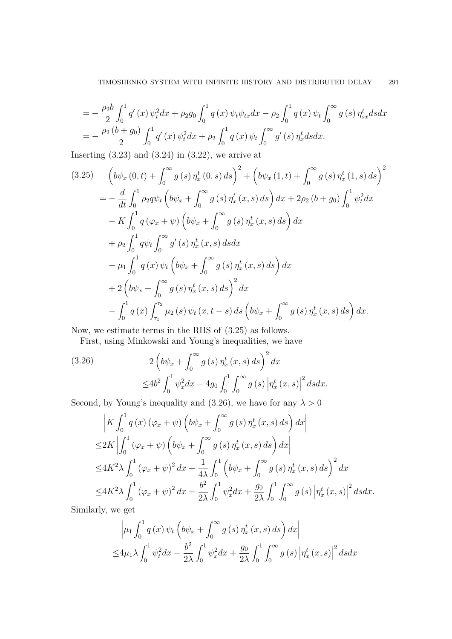$$
= -\frac{\rho_2 b}{2} \int_0^1 q'(x) \psi_t^2 dx + \rho_2 g_0 \int_0^1 q(x) \psi_t \psi_{tx} dx - \rho_2 \int_0^1 q(x) \psi_t \int_0^\infty g(s) \eta_{sx}^t ds dx
$$
  
= 
$$
-\frac{\rho_2 (b+g_0)}{2} \int_0^1 q'(x) \psi_t^2 dx + \rho_2 \int_0^1 q(x) \psi_t \int_0^\infty g'(s) \eta_x^t ds dx.
$$

Inserting  $(3.23)$  and  $(3.24)$  in  $(3.22)$ , we arrive at

<span id="page-10-0"></span>
$$
(3.25) \quad \left(b\psi_x(0,t) + \int_0^\infty g(s) \eta_x^t(0,s) \, ds\right)^2 + \left(b\psi_x(1,t) + \int_0^\infty g(s) \eta_x^t(1,s) \, ds\right)^2 \n= -\frac{d}{dt} \int_0^1 \rho_2 q \psi_t \left(b\psi_x + \int_0^\infty g(s) \eta_x^t(x,s) \, ds\right) dx + 2\rho_2 (b+g_0) \int_0^1 \psi_t^2 dx \n- K \int_0^1 q \left(\varphi_x + \psi\right) \left(b\psi_x + \int_0^\infty g(s) \eta_x^t(x,s) \, ds\right) dx \n+ \rho_2 \int_0^1 q \psi_t \int_0^\infty g'(s) \eta_x^t(x,s) \, ds dx \n- \mu_1 \int_0^1 q(x) \psi_t \left(b\psi_x + \int_0^\infty g(s) \eta_x^t(x,s) \, ds\right) dx \n+ 2 \left(b\psi_x + \int_0^\infty g(s) \eta_x^t(x,s) \, ds\right)^2 dx \n- \int_0^1 q(x) \int_{\tau_1}^{\tau_2} \mu_2(s) \, \psi_t(x,t-s) \, ds \left(b\psi_x + \int_0^\infty g(s) \eta_x^t(x,s) \, ds\right) dx.
$$

Now, we estimate terms in the RHS of [\(3.25\)](#page-10-0) as follows.

First, using Minkowski and Young's inequalities, we have

<span id="page-10-1"></span>(3.26) 
$$
2\left(b\psi_x + \int_0^\infty g(s) \eta_x^t(x,s) ds\right)^2 dx
$$

$$
\leq 4b^2 \int_0^1 \psi_x^2 dx + 4g_0 \int_0^1 \int_0^\infty g(s) |\eta_x^t(x,s)|^2 ds dx.
$$

Second, by Young's inequality and [\(3.26\)](#page-10-1), we have for any  $\lambda > 0$ 

$$
\begin{split}\n&\left|K \int_{0}^{1} q\left(x\right) \left(\varphi_{x} + \psi\right) \left(b\psi_{x} + \int_{0}^{\infty} g\left(s\right) \eta_{x}^{t}\left(x, s\right) ds\right) dx\right| \\
&\leq 2K \left| \int_{0}^{1} \left(\varphi_{x} + \psi\right) \left(b\psi_{x} + \int_{0}^{\infty} g\left(s\right) \eta_{x}^{t}\left(x, s\right) ds\right) dx\right| \\
&\leq 4K^{2} \lambda \int_{0}^{1} \left(\varphi_{x} + \psi\right)^{2} dx + \frac{1}{4\lambda} \int_{0}^{1} \left(b\psi_{x} + \int_{0}^{\infty} g\left(s\right) \eta_{x}^{t}\left(x, s\right) ds\right)^{2} dx \\
&\leq 4K^{2} \lambda \int_{0}^{1} \left(\varphi_{x} + \psi\right)^{2} dx + \frac{b^{2}}{2\lambda} \int_{0}^{1} \psi_{x}^{2} dx + \frac{g_{0}}{2\lambda} \int_{0}^{1} \int_{0}^{\infty} g\left(s\right) \left|\eta_{x}^{t}\left(x, s\right)\right|^{2} ds dx.\n\end{split}
$$

Similarly, we get

$$
\left| \mu_1 \int_0^1 q(x) \psi_t \left( b \psi_x + \int_0^\infty g(s) \eta_x^t(x, s) ds \right) dx \right|
$$
  

$$
\leq 4 \mu_1 \lambda \int_0^1 \psi_t^2 dx + \frac{b^2}{2\lambda} \int_0^1 \psi_x^2 dx + \frac{g_0}{2\lambda} \int_0^1 \int_0^\infty g(s) \left| \eta_x^t(x, s) \right|^2 ds dx
$$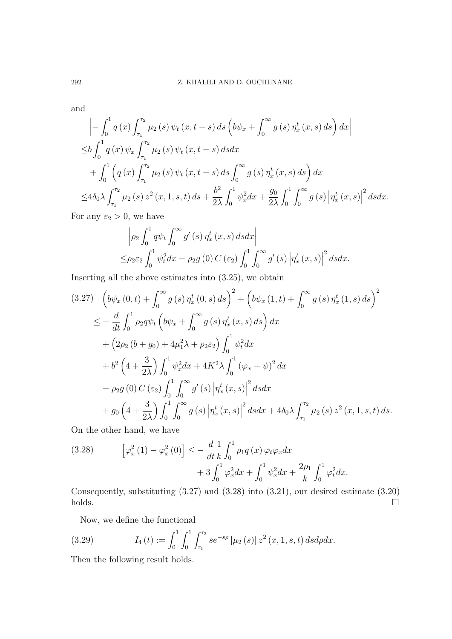and

$$
\left| - \int_0^1 q(x) \int_{\tau_1}^{\tau_2} \mu_2(s) \psi_t(x, t - s) ds \left( b\psi_x + \int_0^\infty g(s) \eta_x^t(x, s) ds \right) dx \right|
$$
  
\n
$$
\leq b \int_0^1 q(x) \psi_x \int_{\tau_1}^{\tau_2} \mu_2(s) \psi_t(x, t - s) ds dx
$$
  
\n
$$
+ \int_0^1 \left( q(x) \int_{\tau_1}^{\tau_2} \mu_2(s) \psi_t(x, t - s) ds \int_0^\infty g(s) \eta_x^t(x, s) ds \right) dx
$$
  
\n
$$
\leq 4\delta_0 \lambda \int_{\tau_1}^{\tau_2} \mu_2(s) z^2(x, 1, s, t) ds + \frac{b^2}{2\lambda} \int_0^1 \psi_x^2 dx + \frac{g_0}{2\lambda} \int_0^1 \int_0^\infty g(s) \left| \eta_x^t(x, s) \right|^2 ds dx.
$$

For any  $\varepsilon_2 > 0$ , we have

$$
\left| \rho_2 \int_0^1 q \psi_t \int_0^\infty g'(s) \eta_x^t(x, s) ds dx \right|
$$
  

$$
\leq \rho_2 \varepsilon_2 \int_0^1 \psi_t^2 dx - \rho_2 g(0) C(\varepsilon_2) \int_0^1 \int_0^\infty g'(s) \left| \eta_x^t(x, s) \right|^2 ds dx.
$$

Inserting all the above estimates into [\(3.25\)](#page-10-0), we obtain

<span id="page-11-0"></span>
$$
(3.27) \quad \left(b\psi_x(0,t) + \int_0^\infty g(s) \eta_x^t(0,s) \, ds\right)^2 + \left(b\psi_x(1,t) + \int_0^\infty g(s) \eta_x^t(1,s) \, ds\right)^2
$$
\n
$$
\leq -\frac{d}{dt} \int_0^1 \rho_2 q \psi_t \left(b\psi_x + \int_0^\infty g(s) \eta_x^t(x,s) \, ds\right) dx
$$
\n
$$
+ \left(2\rho_2 (b+g_0) + 4\mu_1^2 \lambda + \rho_2 \varepsilon_2\right) \int_0^1 \psi_t^2 dx
$$
\n
$$
+ b^2 \left(4 + \frac{3}{2\lambda}\right) \int_0^1 \psi_x^2 dx + 4K^2 \lambda \int_0^1 (\varphi_x + \psi)^2 dx
$$
\n
$$
- \rho_2 g(0) C(\varepsilon_2) \int_0^1 \int_0^\infty g'(s) \left|\eta_x^t(x,s)\right|^2 ds dx
$$
\n
$$
+ g_0 \left(4 + \frac{3}{2\lambda}\right) \int_0^1 \int_0^\infty g(s) \left|\eta_x^t(x,s)\right|^2 ds dx + 4\delta_0 \lambda \int_{\tau_1}^{\tau_2} \mu_2(s) z^2(x,1,s,t) ds.
$$

On the other hand, we have

<span id="page-11-1"></span>(3.28) 
$$
\left[\varphi_x^2(1) - \varphi_x^2(0)\right] \le -\frac{d}{dt} \frac{1}{k} \int_0^1 \rho_1 q(x) \, \varphi_t \varphi_x dx + 3 \int_0^1 \varphi_x^2 dx + \int_0^1 \psi_x^2 dx + \frac{2\rho_1}{k} \int_0^1 \varphi_t^2 dx.
$$

Consequently, substituting [\(3.27\)](#page-11-0) and [\(3.28\)](#page-11-1) into [\(3.21\)](#page-8-2), our desired estimate [\(3.20\)](#page-8-3)  $holds.$ 

<span id="page-11-2"></span>Now, we define the functional

(3.29) 
$$
I_4(t) := \int_0^1 \int_0^1 \int_{\tau_1}^{\tau_2} s e^{-s\rho} |\mu_2(s)| z^2(x, 1, s, t) ds d\rho dx.
$$

Then the following result holds.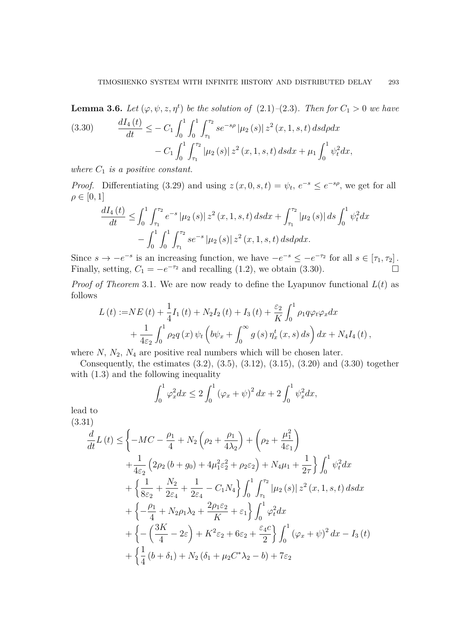**Lemma 3.6.** Let  $(\varphi, \psi, z, \eta^t)$  be the solution of  $(2.1)-(2.3)$  $(2.1)-(2.3)$  $(2.1)-(2.3)$ . Then for  $C_1 > 0$  we have  $dI_4(t)$  2 *τ*<sup>1</sup>  $\int_1^1 \int_1^{t_2}$ 

<span id="page-12-0"></span>(3.30) 
$$
\frac{d^{2}u_{4}(t)}{dt} \leq -C_{1} \int_{0}^{1} \int_{0}^{1} \int_{\tau_{1}}^{2} s e^{-s\rho} |\mu_{2}(s)| z^{2}(x, 1, s, t) ds d\rho dx - C_{1} \int_{0}^{1} \int_{\tau_{1}}^{\tau_{2}} |\mu_{2}(s)| z^{2}(x, 1, s, t) ds dx + \mu_{1} \int_{0}^{1} \psi_{t}^{2} dx,
$$

*where C*<sup>1</sup> *is a positive constant.*

*Proof.* Differentiating [\(3.29\)](#page-11-2) and using  $z(x, 0, s, t) = \psi_t$ ,  $e^{-s} \le e^{-s\rho}$ , we get for all  $\rho \in [0, 1]$ 

$$
\frac{dI_4(t)}{dt} \le \int_0^1 \int_{\tau_1}^{\tau_2} e^{-s} |\mu_2(s)| z^2(x, 1, s, t) ds dx + \int_{\tau_1}^{\tau_2} |\mu_2(s)| ds \int_0^1 \psi_t^2 dx \n- \int_0^1 \int_0^1 \int_{\tau_1}^{\tau_2} s e^{-s} |\mu_2(s)| z^2(x, 1, s, t) ds d\rho dx.
$$

Since  $s \to -e^{-s}$  is an increasing function, we have  $-e^{-s} \leq -e^{-\tau_2}$  for all  $s \in [\tau_1, \tau_2]$ . Finally, setting,  $C_1 = -e^{-\tau_2}$  and recalling [\(1.2\)](#page-0-1), we obtain [\(3.30\)](#page-12-0).

*Proof of Theorem* [3.1](#page-4-2). We are now ready to define the Lyapunov functional  $L(t)$  as follows

$$
L(t) := NE(t) + \frac{1}{4}I_1(t) + N_2I_2(t) + I_3(t) + \frac{\varepsilon_2}{K} \int_0^1 \rho_1 q \varphi_t \varphi_x dx + \frac{1}{4\varepsilon_2} \int_0^1 \rho_2 q(x) \psi_t \left( b\psi_x + \int_0^\infty g(s) \eta_x^t(x, s) ds \right) dx + N_4I_4(t),
$$

where  $N$ ,  $N_2$ ,  $N_4$  are positive real numbers which will be chosen later.

Consequently, the estimates [\(3.2\)](#page-4-3), [\(3.5\)](#page-4-1), [\(3.12\)](#page-6-2), [\(3.15\)](#page-7-2), [\(3.20\)](#page-8-3) and [\(3.30\)](#page-12-0) together with  $(1.3)$  and the following inequality

<span id="page-12-1"></span>
$$
\int_0^1 \varphi_x^2 dx \le 2 \int_0^1 (\varphi_x + \psi)^2 dx + 2 \int_0^1 \psi_x^2 dx,
$$

lead to (3.31)

$$
\frac{d}{dt}L(t) \leq \left\{-MC - \frac{\rho_1}{4} + N_2\left(\rho_2 + \frac{\rho_1}{4\lambda_2}\right) + \left(\rho_2 + \frac{\mu_1^2}{4\varepsilon_1}\right) + \frac{1}{4\varepsilon_2}\left(2\rho_2\left(b + g_0\right) + 4\mu_1^2\varepsilon_2^2 + \rho_2\varepsilon_2\right) + N_4\mu_1 + \frac{1}{2\tau}\right\}\int_0^1 \psi_t^2 dx
$$
\n
$$
+ \left\{\frac{1}{8\varepsilon_2} + \frac{N_2}{2\varepsilon_4} + \frac{1}{2\varepsilon_4} - C_1N_4\right\}\int_0^1 \int_{\tau_1}^{\tau_2} |\mu_2(s)| z^2(x, 1, s, t) ds dx
$$
\n
$$
+ \left\{-\frac{\rho_1}{4} + N_2\rho_1\lambda_2 + \frac{2\rho_1\varepsilon_2}{K} + \varepsilon_1\right\}\int_0^1 \varphi_t^2 dx
$$
\n
$$
+ \left\{-\left(\frac{3K}{4} - 2\varepsilon\right) + K^2\varepsilon_2 + 6\varepsilon_2 + \frac{\varepsilon_4 c}{2}\right\}\int_0^1 (\varphi_x + \psi)^2 dx - I_3(t)
$$
\n
$$
+ \left\{\frac{1}{4}\left(b + \delta_1\right) + N_2\left(\delta_1 + \mu_2 C^*\lambda_2 - b\right) + 7\varepsilon_2\right\}
$$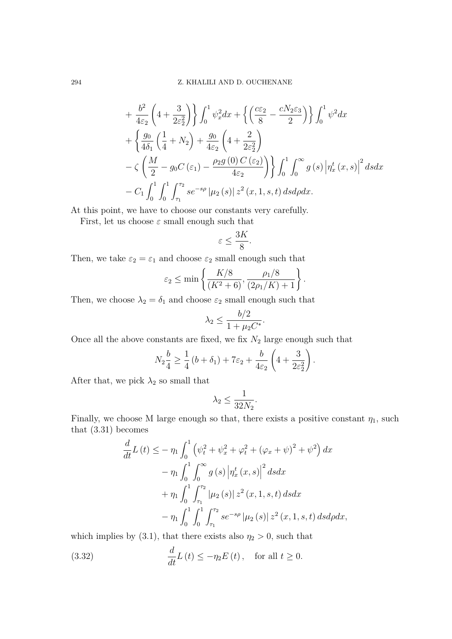$$
+\frac{b^2}{4\varepsilon_2} \left(4 + \frac{3}{2\varepsilon_2^2}\right) \left\{ \int_0^1 \psi_x^2 dx + \left\{ \left(\frac{c\varepsilon_2}{8} - \frac{cN_2\varepsilon_3}{2}\right) \right\} \int_0^1 \psi^2 dx \right\}+\left\{ \frac{g_0}{4\delta_1} \left(\frac{1}{4} + N_2\right) + \frac{g_0}{4\varepsilon_2} \left(4 + \frac{2}{2\varepsilon_2^2}\right) \right\}-\zeta \left( \frac{M}{2} - g_0 C \left(\varepsilon_1\right) - \frac{\rho_2 g\left(0\right) C\left(\varepsilon_2\right)}{4\varepsilon_2} \right) \left\} \int_0^1 \int_0^\infty g\left(s\right) \left|\eta_x^t\left(x, s\right)\right|^2 ds dx - C_1 \int_0^1 \int_0^1 \int_{\tau_1}^{\tau_2} s e^{-s\rho} \left|\mu_2\left(s\right)\right| z^2\left(x, 1, s, t\right) ds d\rho dx.
$$

At this point, we have to choose our constants very carefully.

First, let us choose  $\varepsilon$  small enough such that

$$
\varepsilon \leq \frac{3K}{8}.
$$

Then, we take  $\varepsilon_2 = \varepsilon_1$  and choose  $\varepsilon_2$  small enough such that

$$
\varepsilon_2 \le \min\left\{ \frac{K/8}{(K^2+6)}, \frac{\rho_1/8}{(2\rho_1/K)+1} \right\}.
$$

Then, we choose  $\lambda_2 = \delta_1$  and choose  $\varepsilon_2$  small enough such that

$$
\lambda_2 \le \frac{b/2}{1 + \mu_2 C^*}.
$$

Once all the above constants are fixed, we fix  $N_2$  large enough such that

$$
N_2\frac{b}{4} \ge \frac{1}{4}\left(b+\delta_1\right) + 7\varepsilon_2 + \frac{b}{4\varepsilon_2}\left(4+\frac{3}{2\varepsilon_2^2}\right).
$$

After that, we pick  $\lambda_2$  so small that

$$
\lambda_2 \le \frac{1}{32N_2}.
$$

Finally, we choose M large enough so that, there exists a positive constant  $\eta_1$ , such that [\(3.31\)](#page-12-1) becomes

$$
\frac{d}{dt}L(t) \leq -\eta_1 \int_0^1 \left( \psi_t^2 + \psi_x^2 + \varphi_t^2 + (\varphi_x + \psi)^2 + \psi^2 \right) dx \n- \eta_1 \int_0^1 \int_0^\infty g(s) \left| \eta_x^t(x, s) \right|^2 ds dx \n+ \eta_1 \int_0^1 \int_{\tau_1}^{\tau_2} |\mu_2(s)| z^2(x, 1, s, t) ds dx \n- \eta_1 \int_0^1 \int_0^1 \int_{\tau_1}^{\tau_2} s e^{-s\rho} |\mu_2(s)| z^2(x, 1, s, t) ds d\rho dx,
$$

which implies by [\(3.1\)](#page-3-2), that there exists also  $\eta_2 > 0$ , such that

<span id="page-13-0"></span>(3.32) 
$$
\frac{d}{dt}L(t) \leq -\eta_2 E(t), \text{ for all } t \geq 0.
$$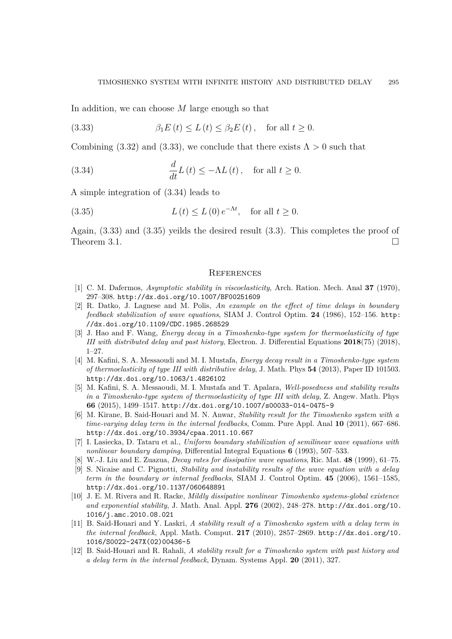In addition, we can choose *M* large enough so that

<span id="page-14-12"></span>(3.33) 
$$
\beta_1 E(t) \le L(t) \le \beta_2 E(t), \text{ for all } t \ge 0.
$$

Combining [\(3.32\)](#page-13-0) and [\(3.33\)](#page-14-12), we conclude that there exists  $\Lambda > 0$  such that

<span id="page-14-13"></span>(3.34) 
$$
\frac{d}{dt}L(t) \leq -\Lambda L(t), \text{ for all } t \geq 0.
$$

A simple integration of [\(3.34\)](#page-14-13) leads to

(3.35) 
$$
L(t) \le L(0) e^{-\Lambda t}, \text{ for all } t \ge 0.
$$

Again, [\(3.33\)](#page-14-12) and [\(3.35\)](#page-14-14) yeilds the desired result [\(3.3\)](#page-4-4). This completes the proof of Theorem 3.1.  $\Box$ 

#### <span id="page-14-14"></span>**REFERENCES**

- <span id="page-14-10"></span>[1] C. M. Dafermos, *Asymptotic stability in viscoelasticity*, Arch. Ration. Mech. Anal **37** (1970), 297–308. <http://dx.doi.org/10.1007/BF00251609>
- <span id="page-14-3"></span>[2] R. Datko, J. Lagnese and M. Polis, *An example on the effect of time delays in boundary feedback stabilization of wave equations*, SIAM J. Control Optim. **24** (1986), 152–156. [http:](http://dx.doi.org/10.1109/CDC.1985.268529) [//dx.doi.org/10.1109/CDC.1985.268529](http://dx.doi.org/10.1109/CDC.1985.268529)
- <span id="page-14-6"></span>[3] J. Hao and F. Wang, *Energy decay in a Timoshenko-type system for thermoelasticity of type III with distributed delay and past history*, Electron. J. Differential Equations **2018**(75) (2018), 1–27.
- <span id="page-14-5"></span>[4] M. Kafini, S. A. Messaoudi and M. I. Mustafa, *Energy decay result in a Timoshenko-type system of thermoelasticity of type III with distributive delay*, J. Math. Phys **54** (2013), Paper ID 101503. <http://dx.doi.org/10.1063/1.4826102>
- <span id="page-14-4"></span>[5] M. Kafini, S. A. Messaoudi, M. I. Mustafa and T. Apalara, *Well-posedness and stability results in a Timoshenko-type system of thermoelasticity of type III with delay*, Z. Angew. Math. Phys **66** (2015), 1499–1517. <http://dx.doi.org/10.1007/s00033-014-0475-9>
- <span id="page-14-2"></span>[6] M. Kirane, B. Said-Houari and M. N. Anwar, *Stability result for the Timoshenko system with a time-varying delay term in the internal feedbacks*, Comm. Pure Appl. Anal **10** (2011), 667–686. <http://dx.doi.org/10.3934/cpaa.2011.10.667>
- <span id="page-14-7"></span>[7] I. Lasiecka, D. Tataru et al., *Uniform boundary stabilization of semilinear wave equations with nonlinear boundary damping*, Differential Integral Equations **6** (1993), 507–533.
- <span id="page-14-8"></span>[8] W.-J. Liu and E. Zuazua, *Decay rates for dissipative wave equations*, Ric. Mat. **48** (1999), 61–75.
- <span id="page-14-9"></span>[9] S. Nicaise and C. Pignotti, *Stability and instability results of the wave equation with a delay term in the boundary or internal feedbacks*, SIAM J. Control Optim. **45** (2006), 1561–1585, <http://dx.doi.org/10.1137/060648891>
- <span id="page-14-11"></span>[10] J. E. M. Rivera and R. Racke, *Mildly dissipative nonlinear Timoshenko systems-global existence and exponential stability*, J. Math. Anal. Appl. **276** (2002), 248–278. [http://dx.doi.org/10.](http://dx.doi.org/10.1016/j.amc.2010.08.021) [1016/j.amc.2010.08.021](http://dx.doi.org/10.1016/j.amc.2010.08.021)
- <span id="page-14-1"></span>[11] B. Said-Houari and Y. Laskri, *A stability result of a Timoshenko system with a delay term in the internal feedback*, Appl. Math. Comput. **217** (2010), 2857–2869. [http://dx.doi.org/10.](http://dx.doi.org/10.1016/S0022-247X(02)00436-5) [1016/S0022-247X\(02\)00436-5](http://dx.doi.org/10.1016/S0022-247X(02)00436-5)
- <span id="page-14-0"></span>[12] B. Said-Houari and R. Rahali, *A stability result for a Timoshenko system with past history and a delay term in the internal feedback*, Dynam. Systems Appl. **20** (2011), 327.